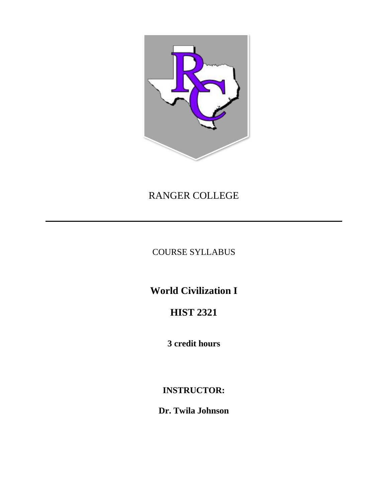

# RANGER COLLEGE

COURSE SYLLABUS

**World Civilization I** 

## **HIST 2321**

**3 credit hours**

## **INSTRUCTOR:**

**Dr. Twila Johnson**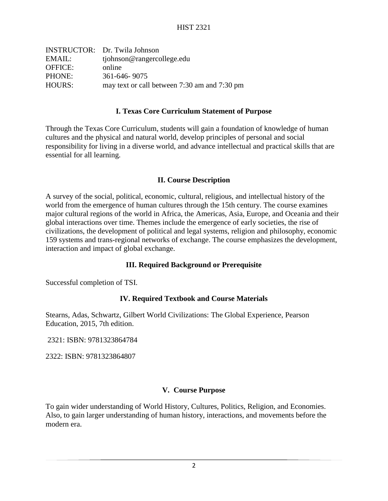|                | <b>INSTRUCTOR:</b> Dr. Twila Johnson         |
|----------------|----------------------------------------------|
| EMAIL:         | tjohnson@rangercollege.edu                   |
| <b>OFFICE:</b> | online                                       |
| PHONE:         | 361-646-9075                                 |
| HOURS:         | may text or call between 7:30 am and 7:30 pm |
|                |                                              |

#### **I. Texas Core Curriculum Statement of Purpose**

Through the Texas Core Curriculum, students will gain a foundation of knowledge of human cultures and the physical and natural world, develop principles of personal and social responsibility for living in a diverse world, and advance intellectual and practical skills that are essential for all learning.

#### **II. Course Description**

A survey of the social, political, economic, cultural, religious, and intellectual history of the world from the emergence of human cultures through the 15th century. The course examines major cultural regions of the world in Africa, the Americas, Asia, Europe, and Oceania and their global interactions over time. Themes include the emergence of early societies, the rise of civilizations, the development of political and legal systems, religion and philosophy, economic 159 systems and trans-regional networks of exchange. The course emphasizes the development, interaction and impact of global exchange.

#### **III. Required Background or Prerequisite**

Successful completion of TSI.

#### **IV. Required Textbook and Course Materials**

Stearns, Adas, Schwartz, Gilbert World Civilizations: The Global Experience, Pearson Education, 2015, 7th edition.

2321: ISBN: 9781323864784

2322: ISBN: 9781323864807

#### **V. Course Purpose**

To gain wider understanding of World History, Cultures, Politics, Religion, and Economies. Also, to gain larger understanding of human history, interactions, and movements before the modern era.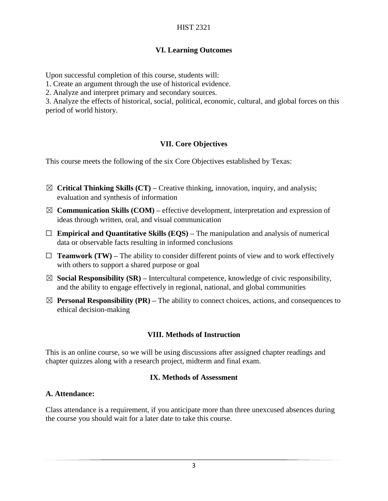### **VI. Learning Outcomes**

Upon successful completion of this course, students will:

1. Create an argument through the use of historical evidence.

2. Analyze and interpret primary and secondary sources.

3. Analyze the effects of historical, social, political, economic, cultural, and global forces on this period of world history.

## **VII. Core Objectives**

This course meets the following of the six Core Objectives established by Texas:

- ☒ **Critical Thinking Skills (CT) –** Creative thinking, innovation, inquiry, and analysis; evaluation and synthesis of information
- $\boxtimes$  **Communication Skills (COM)** effective development, interpretation and expression of ideas through written, oral, and visual communication
- ☐ **Empirical and Quantitative Skills (EQS) –** The manipulation and analysis of numerical data or observable facts resulting in informed conclusions
- $\Box$  **Teamwork (TW)** The ability to consider different points of view and to work effectively with others to support a shared purpose or goal
- $\boxtimes$  **Social Responsibility (SR)** Intercultural competence, knowledge of civic responsibility, and the ability to engage effectively in regional, national, and global communities
- $\boxtimes$  **Personal Responsibility (PR)** The ability to connect choices, actions, and consequences to ethical decision-making

#### **VIII. Methods of Instruction**

This is an online course, so we will be using discussions after assigned chapter readings and chapter quizzes along with a research project, midterm and final exam.

#### **IX. Methods of Assessment**

#### **A. Attendance:**

Class attendance is a requirement, if you anticipate more than three unexcused absences during the course you should wait for a later date to take this course.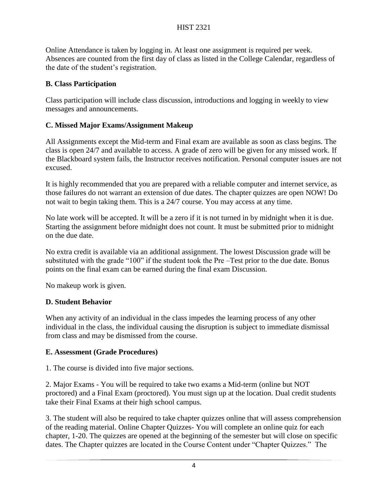Online Attendance is taken by logging in. At least one assignment is required per week. Absences are counted from the first day of class as listed in the College Calendar, regardless of the date of the student's registration.

## **B. Class Participation**

Class participation will include class discussion, introductions and logging in weekly to view messages and announcements.

## **C. Missed Major Exams/Assignment Makeup**

All Assignments except the Mid-term and Final exam are available as soon as class begins. The class is open 24/7 and available to access. A grade of zero will be given for any missed work. If the Blackboard system fails, the Instructor receives notification. Personal computer issues are not excused.

It is highly recommended that you are prepared with a reliable computer and internet service, as those failures do not warrant an extension of due dates. The chapter quizzes are open NOW! Do not wait to begin taking them. This is a 24/7 course. You may access at any time.

No late work will be accepted. It will be a zero if it is not turned in by midnight when it is due. Starting the assignment before midnight does not count. It must be submitted prior to midnight on the due date.

No extra credit is available via an additional assignment. The lowest Discussion grade will be substituted with the grade "100" if the student took the Pre –Test prior to the due date. Bonus points on the final exam can be earned during the final exam Discussion.

No makeup work is given.

## **D. Student Behavior**

When any activity of an individual in the class impedes the learning process of any other individual in the class, the individual causing the disruption is subject to immediate dismissal from class and may be dismissed from the course.

## **E. Assessment (Grade Procedures)**

1. The course is divided into five major sections.

2. Major Exams - You will be required to take two exams a Mid-term (online but NOT proctored) and a Final Exam (proctored). You must sign up at the location. Dual credit students take their Final Exams at their high school campus.

3. The student will also be required to take chapter quizzes online that will assess comprehension of the reading material. Online Chapter Quizzes- You will complete an online quiz for each chapter, 1-20. The quizzes are opened at the beginning of the semester but will close on specific dates. The Chapter quizzes are located in the Course Content under "Chapter Quizzes." The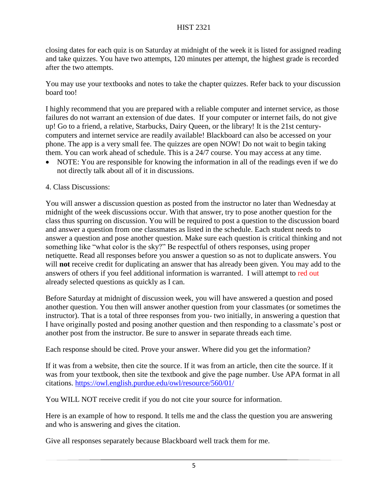#### HIST 2321

closing dates for each quiz is on Saturday at midnight of the week it is listed for assigned reading and take quizzes. You have two attempts, 120 minutes per attempt, the highest grade is recorded after the two attempts.

You may use your textbooks and notes to take the chapter quizzes. Refer back to your discussion board too!

I highly recommend that you are prepared with a reliable computer and internet service, as those failures do not warrant an extension of due dates. If your computer or internet fails, do not give up! Go to a friend, a relative, Starbucks, Dairy Queen, or the library! It is the 21st centurycomputers and internet service are readily available! Blackboard can also be accessed on your phone. The app is a very small fee. The quizzes are open NOW! Do not wait to begin taking them. You can work ahead of schedule. This is a 24/7 course. You may access at any time.

- NOTE: You are responsible for knowing the information in all of the readings even if we do not directly talk about all of it in discussions.
- 4. Class Discussions:

You will answer a discussion question as posted from the instructor no later than Wednesday at midnight of the week discussions occur. With that answer, try to pose another question for the class thus spurring on discussion. You will be required to post a question to the discussion board and answer a question from one classmates as listed in the schedule. Each student needs to answer a question and pose another question. Make sure each question is critical thinking and not something like "what color is the sky?" Be respectful of others responses, using proper netiquette. Read all responses before you answer a question so as not to duplicate answers. You will **not** receive credit for duplicating an answer that has already been given. You may add to the answers of others if you feel additional information is warranted. I will attempt to red out already selected questions as quickly as I can.

Before Saturday at midnight of discussion week, you will have answered a question and posed another question. You then will answer another question from your classmates (or sometimes the instructor). That is a total of three responses from you- two initially, in answering a question that I have originally posted and posing another question and then responding to a classmate's post or another post from the instructor. Be sure to answer in separate threads each time.

Each response should be cited. Prove your answer. Where did you get the information?

If it was from a website, then cite the source. If it was from an article, then cite the source. If it was from your textbook, then site the textbook and give the page number. Use APA format in all citations.<https://owl.english.purdue.edu/owl/resource/560/01/>

You WILL NOT receive credit if you do not cite your source for information.

Here is an example of how to respond. It tells me and the class the question you are answering and who is answering and gives the citation.

Give all responses separately because Blackboard well track them for me.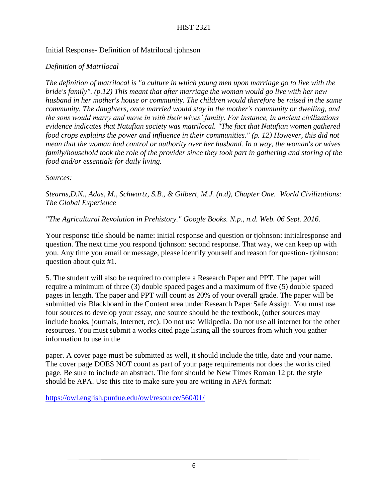#### Initial Response- Definition of Matrilocal tjohnson

### *Definition of Matrilocal*

*The definition of matrilocal is "a culture in which young men upon marriage go to live with the bride's family". (p.12) This meant that after marriage the woman would go live with her new husband in her mother's house or community. The children would therefore be raised in the same community. The daughters, once married would stay in the mother's community or dwelling, and the sons would marry and move in with their wives' family. For instance, in ancient civilizations evidence indicates that Natufian society was matrilocal. "The fact that Natufian women gathered food crops explains the power and influence in their communities." (p. 12) However, this did not mean that the woman had control or authority over her husband. In a way, the woman's or wives family/household took the role of the provider since they took part in gathering and storing of the food and/or essentials for daily living.*

#### *Sources:*

*Stearns,D.N., Adas, M., Schwartz, S.B., & Gilbert, M.J. (n.d), Chapter One. World Civilizations: The Global Experience*

#### *"The Agricultural Revolution in Prehistory." Google Books. N.p., n.d. Web. 06 Sept. 2016.*

Your response title should be name: initial response and question or tjohnson: initialresponse and question. The next time you respond tjohnson: second response. That way, we can keep up with you. Any time you email or message, please identify yourself and reason for question- tjohnson: question about quiz #1.

5. The student will also be required to complete a Research Paper and PPT. The paper will require a minimum of three (3) double spaced pages and a maximum of five (5) double spaced pages in length. The paper and PPT will count as 20% of your overall grade. The paper will be submitted via Blackboard in the Content area under Research Paper Safe Assign. You must use four sources to develop your essay, one source should be the textbook, (other sources may include books, journals, Internet, etc). Do not use Wikipedia. Do not use all internet for the other resources. You must submit a works cited page listing all the sources from which you gather information to use in the

paper. A cover page must be submitted as well, it should include the title, date and your name. The cover page DOES NOT count as part of your page requirements nor does the works cited page. Be sure to include an abstract. The font should be New Times Roman 12 pt. the style should be APA. Use this cite to make sure you are writing in APA format:

<https://owl.english.purdue.edu/owl/resource/560/01/>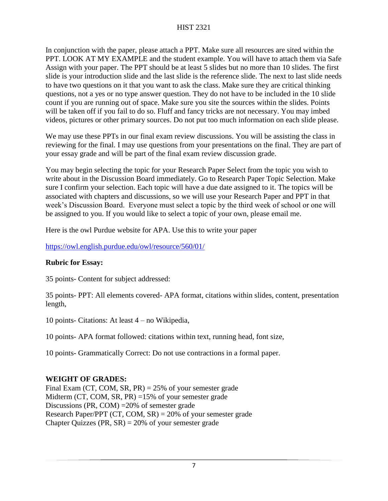In conjunction with the paper, please attach a PPT. Make sure all resources are sited within the PPT. LOOK AT MY EXAMPLE and the student example. You will have to attach them via Safe Assign with your paper. The PPT should be at least 5 slides but no more than 10 slides. The first slide is your introduction slide and the last slide is the reference slide. The next to last slide needs to have two questions on it that you want to ask the class. Make sure they are critical thinking questions, not a yes or no type answer question. They do not have to be included in the 10 slide count if you are running out of space. Make sure you site the sources within the slides. Points will be taken off if you fail to do so. Fluff and fancy tricks are not necessary. You may imbed videos, pictures or other primary sources. Do not put too much information on each slide please.

We may use these PPTs in our final exam review discussions. You will be assisting the class in reviewing for the final. I may use questions from your presentations on the final. They are part of your essay grade and will be part of the final exam review discussion grade.

You may begin selecting the topic for your Research Paper Select from the topic you wish to write about in the Discussion Board immediately. Go to Research Paper Topic Selection. Make sure I confirm your selection. Each topic will have a due date assigned to it. The topics will be associated with chapters and discussions, so we will use your Research Paper and PPT in that week's Discussion Board. Everyone must select a topic by the third week of school or one will be assigned to you. If you would like to select a topic of your own, please email me.

Here is the owl Purdue website for APA. Use this to write your paper

## <https://owl.english.purdue.edu/owl/resource/560/01/>

## **Rubric for Essay:**

35 points- Content for subject addressed:

35 points- PPT: All elements covered- APA format, citations within slides, content, presentation length,

10 points- Citations: At least 4 – no Wikipedia,

10 points- APA format followed: citations within text, running head, font size,

10 points- Grammatically Correct: Do not use contractions in a formal paper.

## **WEIGHT OF GRADES:**

Final Exam (CT, COM, SR, PR) = 25% of your semester grade Midterm (CT, COM, SR, PR) =15% of your semester grade Discussions (PR, COM) =20% of semester grade Research Paper/PPT (CT, COM, SR) = 20% of your semester grade Chapter Quizzes (PR,  $SR$ ) = 20% of your semester grade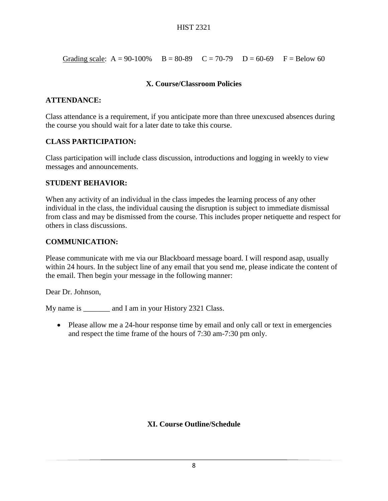Grading scale:  $A = 90-100\%$   $B = 80-89$   $C = 70-79$   $D = 60-69$   $F = Below 60$ 

#### **X. Course/Classroom Policies**

#### **ATTENDANCE:**

Class attendance is a requirement, if you anticipate more than three unexcused absences during the course you should wait for a later date to take this course.

### **CLASS PARTICIPATION:**

Class participation will include class discussion, introductions and logging in weekly to view messages and announcements.

#### **STUDENT BEHAVIOR:**

When any activity of an individual in the class impedes the learning process of any other individual in the class, the individual causing the disruption is subject to immediate dismissal from class and may be dismissed from the course. This includes proper netiquette and respect for others in class discussions.

### **COMMUNICATION:**

Please communicate with me via our Blackboard message board. I will respond asap, usually within 24 hours. In the subject line of any email that you send me, please indicate the content of the email. Then begin your message in the following manner:

Dear Dr. Johnson,

My name is \_\_\_\_\_\_\_\_ and I am in your History 2321 Class.

• Please allow me a 24-hour response time by email and only call or text in emergencies and respect the time frame of the hours of 7:30 am-7:30 pm only.

## **XI. Course Outline/Schedule**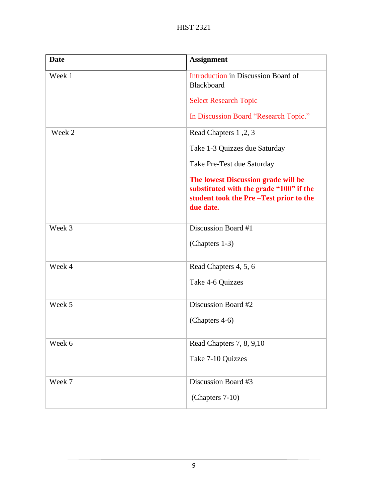| <b>Date</b> | <b>Assignment</b>                                                                                                                     |
|-------------|---------------------------------------------------------------------------------------------------------------------------------------|
| Week 1      | Introduction in Discussion Board of<br>Blackboard                                                                                     |
|             | <b>Select Research Topic</b>                                                                                                          |
|             | In Discussion Board "Research Topic."                                                                                                 |
| Week 2      | Read Chapters 1, 2, 3                                                                                                                 |
|             | Take 1-3 Quizzes due Saturday                                                                                                         |
|             | Take Pre-Test due Saturday                                                                                                            |
|             | The lowest Discussion grade will be<br>substituted with the grade "100" if the<br>student took the Pre-Test prior to the<br>due date. |
| Week 3      | Discussion Board #1                                                                                                                   |
|             | (Chapters 1-3)                                                                                                                        |
| Week 4      | Read Chapters 4, 5, 6                                                                                                                 |
|             | Take 4-6 Quizzes                                                                                                                      |
| Week 5      | Discussion Board #2                                                                                                                   |
|             | (Chapters 4-6)                                                                                                                        |
| Week 6      | Read Chapters 7, 8, 9,10                                                                                                              |
|             | Take 7-10 Quizzes                                                                                                                     |
| Week 7      | Discussion Board #3                                                                                                                   |
|             | (Chapters 7-10)                                                                                                                       |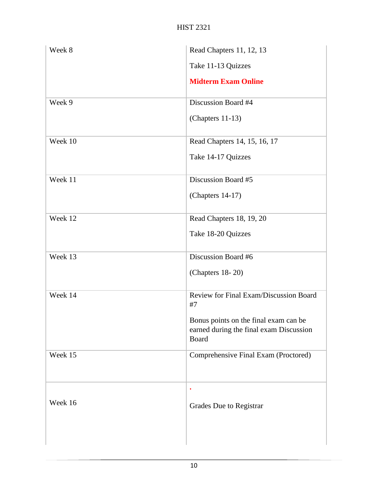| Week 8  | Read Chapters 11, 12, 13                                                                  |
|---------|-------------------------------------------------------------------------------------------|
|         | Take 11-13 Quizzes                                                                        |
|         | <b>Midterm Exam Online</b>                                                                |
| Week 9  | Discussion Board #4                                                                       |
|         | (Chapters 11-13)                                                                          |
| Week 10 | Read Chapters 14, 15, 16, 17                                                              |
|         | Take 14-17 Quizzes                                                                        |
| Week 11 | Discussion Board #5                                                                       |
|         | (Chapters 14-17)                                                                          |
| Week 12 | Read Chapters 18, 19, 20                                                                  |
|         | Take 18-20 Quizzes                                                                        |
| Week 13 | Discussion Board #6                                                                       |
|         | (Chapters 18-20)                                                                          |
| Week 14 | Review for Final Exam/Discussion Board<br>#7                                              |
|         | Bonus points on the final exam can be<br>earned during the final exam Discussion<br>Board |
| Week 15 | Comprehensive Final Exam (Proctored)                                                      |
|         | $\bullet$                                                                                 |
| Week 16 | Grades Due to Registrar                                                                   |
|         |                                                                                           |